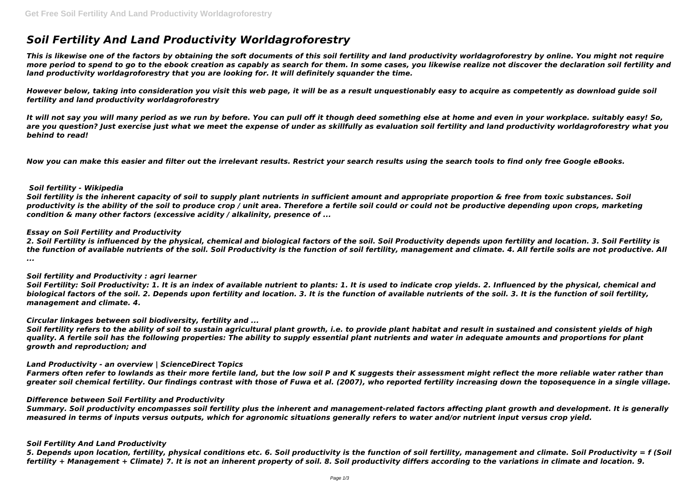# *Soil Fertility And Land Productivity Worldagroforestry*

*This is likewise one of the factors by obtaining the soft documents of this soil fertility and land productivity worldagroforestry by online. You might not require more period to spend to go to the ebook creation as capably as search for them. In some cases, you likewise realize not discover the declaration soil fertility and land productivity worldagroforestry that you are looking for. It will definitely squander the time.*

*However below, taking into consideration you visit this web page, it will be as a result unquestionably easy to acquire as competently as download guide soil fertility and land productivity worldagroforestry*

*It will not say you will many period as we run by before. You can pull off it though deed something else at home and even in your workplace. suitably easy! So,* are you question? Just exercise just what we meet the expense of under as skillfully as evaluation soil fertility and land productivity worldagroforestry what you *behind to read!*

*Now you can make this easier and filter out the irrelevant results. Restrict your search results using the search tools to find only free Google eBooks.* 

# *Soil fertility - Wikipedia*

*Soil fertility is the inherent capacity of soil to supply plant nutrients in sufficient amount and appropriate proportion & free from toxic substances. Soil productivity is the ability of the soil to produce crop / unit area. Therefore a fertile soil could or could not be productive depending upon crops, marketing condition & many other factors (excessive acidity / alkalinity, presence of ...*

# *Essay on Soil Fertility and Productivity*

*2. Soil Fertility is influenced by the physical, chemical and biological factors of the soil. Soil Productivity depends upon fertility and location. 3. Soil Fertility is the function of available nutrients of the soil. Soil Productivity is the function of soil fertility, management and climate. 4. All fertile soils are not productive. All ...*

## *Soil fertility and Productivity : agri learner*

*Soil Fertility: Soil Productivity: 1. It is an index of available nutrient to plants: 1. It is used to indicate crop yields. 2. Influenced by the physical, chemical and biological factors of the soil. 2. Depends upon fertility and location. 3. It is the function of available nutrients of the soil. 3. It is the function of soil fertility, management and climate. 4.*

## *Circular linkages between soil biodiversity, fertility and ...*

*Soil fertility refers to the ability of soil to sustain agricultural plant growth, i.e. to provide plant habitat and result in sustained and consistent yields of high quality. A fertile soil has the following properties: The ability to supply essential plant nutrients and water in adequate amounts and proportions for plant growth and reproduction; and*

## *Land Productivity - an overview | ScienceDirect Topics*

*Farmers often refer to lowlands as their more fertile land, but the low soil P and K suggests their assessment might reflect the more reliable water rather than greater soil chemical fertility. Our findings contrast with those of Fuwa et al. (2007), who reported fertility increasing down the toposequence in a single village.*

## *Difference between Soil Fertility and Productivity*

*Summary. Soil productivity encompasses soil fertility plus the inherent and management-related factors affecting plant growth and development. It is generally measured in terms of inputs versus outputs, which for agronomic situations generally refers to water and/or nutrient input versus crop yield.*

## *Soil Fertility And Land Productivity*

*5. Depends upon location, fertility, physical conditions etc. 6. Soil productivity is the function of soil fertility, management and climate. Soil Productivity = f (Soil fertility + Management + Climate) 7. It is not an inherent property of soil. 8. Soil productivity differs according to the variations in climate and location. 9.*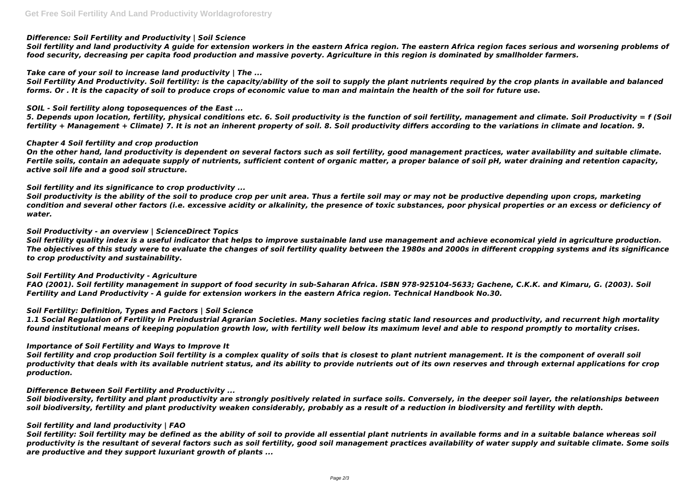# *Difference: Soil Fertility and Productivity | Soil Science*

*Soil fertility and land productivity A guide for extension workers in the eastern Africa region. The eastern Africa region faces serious and worsening problems of food security, decreasing per capita food production and massive poverty. Agriculture in this region is dominated by smallholder farmers.*

# *Take care of your soil to increase land productivity | The ...*

*Soil Fertility And Productivity. Soil fertility: is the capacity/ability of the soil to supply the plant nutrients required by the crop plants in available and balanced forms. Or . It is the capacity of soil to produce crops of economic value to man and maintain the health of the soil for future use.*

# *SOIL - Soil fertility along toposequences of the East ...*

*5. Depends upon location, fertility, physical conditions etc. 6. Soil productivity is the function of soil fertility, management and climate. Soil Productivity = f (Soil fertility + Management + Climate) 7. It is not an inherent property of soil. 8. Soil productivity differs according to the variations in climate and location. 9.*

# *Chapter 4 Soil fertility and crop production*

*On the other hand, land productivity is dependent on several factors such as soil fertility, good management practices, water availability and suitable climate. Fertile soils, contain an adequate supply of nutrients, sufficient content of organic matter, a proper balance of soil pH, water draining and retention capacity, active soil life and a good soil structure.*

# *Soil fertility and its significance to crop productivity ...*

*Soil productivity is the ability of the soil to produce crop per unit area. Thus a fertile soil may or may not be productive depending upon crops, marketing condition and several other factors (i.e. excessive acidity or alkalinity, the presence of toxic substances, poor physical properties or an excess or deficiency of water.*

## *Soil Productivity - an overview | ScienceDirect Topics*

*Soil fertility quality index is a useful indicator that helps to improve sustainable land use management and achieve economical yield in agriculture production. The objectives of this study were to evaluate the changes of soil fertility quality between the 1980s and 2000s in different cropping systems and its significance to crop productivity and sustainability.*

## *Soil Fertility And Productivity - Agriculture*

*FAO (2001). Soil fertility management in support of food security in sub-Saharan Africa. ISBN 978-925104-5633; Gachene, C.K.K. and Kimaru, G. (2003). Soil Fertility and Land Productivity - A guide for extension workers in the eastern Africa region. Technical Handbook No.30.*

## *Soil Fertility: Definition, Types and Factors | Soil Science*

*1.1 Social Regulation of Fertility in Preindustrial Agrarian Societies. Many societies facing static land resources and productivity, and recurrent high mortality found institutional means of keeping population growth low, with fertility well below its maximum level and able to respond promptly to mortality crises.*

## *Importance of Soil Fertility and Ways to Improve It*

*Soil fertility and crop production Soil fertility is a complex quality of soils that is closest to plant nutrient management. It is the component of overall soil productivity that deals with its available nutrient status, and its ability to provide nutrients out of its own reserves and through external applications for crop production.*

## *Difference Between Soil Fertility and Productivity ...*

*Soil biodiversity, fertility and plant productivity are strongly positively related in surface soils. Conversely, in the deeper soil layer, the relationships between soil biodiversity, fertility and plant productivity weaken considerably, probably as a result of a reduction in biodiversity and fertility with depth.*

## *Soil fertility and land productivity | FAO*

*Soil fertility: Soil fertility may be defined as the ability of soil to provide all essential plant nutrients in available forms and in a suitable balance whereas soil productivity is the resultant of several factors such as soil fertility, good soil management practices availability of water supply and suitable climate. Some soils are productive and they support luxuriant growth of plants ...*